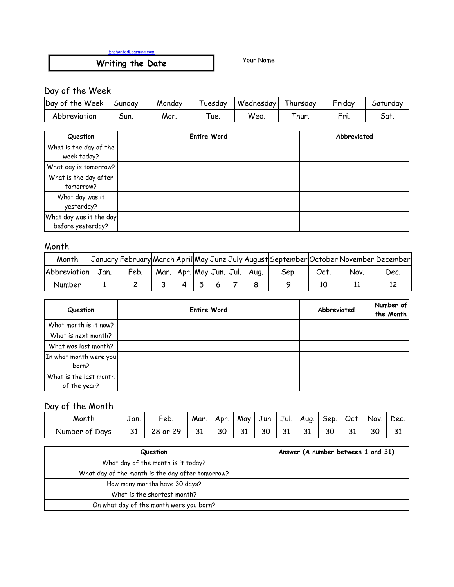EnchantedLearning.com

**Writing the Date** Your Name\_\_\_\_\_\_\_\_\_\_\_\_\_\_\_\_\_\_\_\_\_\_\_\_\_\_\_

# Day of the Week

| Day of the Week | Sundav | Monday | Tuesdav | Wednesday | Thursday | Friday | Saturdav |
|-----------------|--------|--------|---------|-----------|----------|--------|----------|
| Abbreviation    | Sun.   | Mon.   | ue.     | Wea       | hur      | Eni    | -Sat.    |

| Question                | <b>Entire Word</b> | Abbreviated |
|-------------------------|--------------------|-------------|
| What is the day of the  |                    |             |
| week today?             |                    |             |
| What day is tomorrow?   |                    |             |
| What is the day after   |                    |             |
| tomorrow?               |                    |             |
| What day was it         |                    |             |
| yesterday?              |                    |             |
| What day was it the day |                    |             |
| before yesterday?       |                    |             |

#### Month

| Month        |      |      |      |  |  |                                         | January February March April May June July August September October November December |     |     |      |
|--------------|------|------|------|--|--|-----------------------------------------|---------------------------------------------------------------------------------------|-----|-----|------|
| Abbreviation | Jan. | Feb. | Mar. |  |  | $ $ Apr. $ May $ Jun. $ $ Jul. $ $ Aug. | Sep                                                                                   | Oct | Νον | Dec. |
| Number       |      |      |      |  |  |                                         |                                                                                       |     |     |      |

| Question                               | <b>Entire Word</b> | Abbreviated | Number of<br>the Month |
|----------------------------------------|--------------------|-------------|------------------------|
| What month is it now?                  |                    |             |                        |
| What is next month?                    |                    |             |                        |
| What was last month?                   |                    |             |                        |
| In what month were you<br>born?        |                    |             |                        |
| What is the last month<br>of the year? |                    |             |                        |

## Day of the Month

| Month                              | $\overline{\phantom{0}}$<br>Jan. | Feb.                          | Mar | Apr. | May | $\overline{\phantom{a}}$<br>Jun. | Jul.            | Aug. | Sep. | Oct.    | Nov. | Dec.                |
|------------------------------------|----------------------------------|-------------------------------|-----|------|-----|----------------------------------|-----------------|------|------|---------|------|---------------------|
| <sup>:</sup> Days<br>Number<br>ot. | <b>21</b><br>ັ                   | າວ<br>29<br>or.<br>$\sqrt{2}$ | 31  | 30   | 31  | 30                               | <b>O1</b><br>JІ | 31   | 30   | ີ<br>ັບ | 30   | $\mathbf{C}$<br>لەر |

| Question                                         | Answer (A number between 1 and 31) |
|--------------------------------------------------|------------------------------------|
| What day of the month is it today?               |                                    |
| What day of the month is the day after tomorrow? |                                    |
| How many months have 30 days?                    |                                    |
| What is the shortest month?                      |                                    |
| On what day of the month were you born?          |                                    |